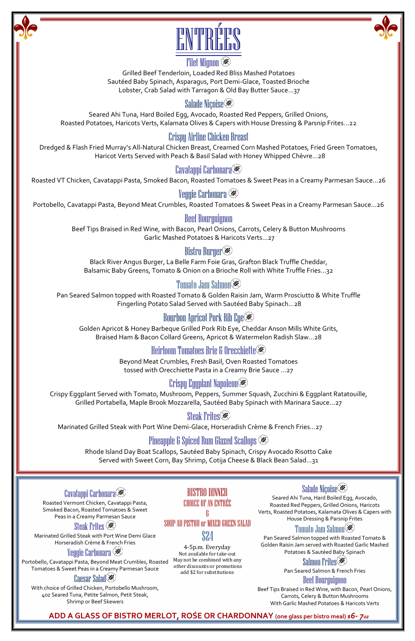

#### **Filet Mignon**

Grilled Beef Tenderloin, Loaded Red Bliss Mashed Potatoes Sautéed Baby Spinach, Asparagus, Port Demi-Glace, Toasted Brioche Lobster, Crab Salad with Tarragon & Old Bay Butter Sauce…37

# Salade Niçoise

Seared Ahi Tuna, Hard Boiled Egg, Avocado, Roasted Red Peppers, Grilled Onions, Roasted Potatoes, Haricots Verts, Kalamata Olives & Capers with House Dressing & Parsnip Frites…22

# Crispy Airline Chicken Breast

Dredged & Flash Fried Murray's All-Natural Chicken Breast, Creamed Corn Mashed Potatoes, Fried Green Tomatoes, Haricot Verts Served with Peach & Basil Salad with Honey Whipped Chèvre...28

# Cavatappi Carbonara

4-5p.m. Everyday Not available for take-out May not be combined with any other discounts or promotions add \$2 for substitutions

Roasted VT Chicken, Cavatappi Pasta, Smoked Bacon, Roasted Tomatoes & Sweet Peas in a Creamy Parmesan Sauce…26

# Veggie Carbonara

Portobello, Cavatappi Pasta, Beyond Meat Crumbles, Roasted Tomatoes & Sweet Peas in a Creamy Parmesan Sauce…26

#### Beef Bourguignon

Beef Tips Braised in Red Wine, with Bacon, Pearl Onions, Carrots, Celery & Button Mushrooms Garlic Mashed Potatoes & Haricots Verts…27

#### Bistro Burger

Black River Angus Burger, La Belle Farm Foie Gras, Grafton Black Truffle Cheddar, Balsamic Baby Greens, Tomato & Onion on a Brioche Roll with White Truffle Fries…32

# Tomato Jam Salmon

Pan Seared Salmon topped with Roasted Tomato & Golden Raisin Jam, Warm Prosciutto & White Truffle Fingerling Potato Salad Served with Sautéed Baby Spinach…28

# Bourbon Apricot Pork Rib Eye

Golden Apricot & Honey Barbeque Grilled Pork Rib Eye, Cheddar Anson Mills White Grits, Braised Ham & Bacon Collard Greens, Apricot & Watermelon Radish Slaw…28

# Heirloom Tomatoes Brie & Orecchiette

Beyond Meat Crumbles, Fresh Basil, Oven Roasted Tomatoes tossed with Orecchiette Pasta in a Creamy Brie Sauce …27

# Crispy Eggplant Napoleon

Crispy Eggplant Served with Tomato, Mushroom, Peppers, Summer Squash, Zucchini & Eggplant Ratatouille, Grilled Portabella, Maple Brook Mozzarella, Sautéed Baby Spinach with Marinara Sauce…27

# Steak Frites<sup>(\*)</sup>

Marinated Grilled Steak with Port Wine Demi-Glace, Horseradish Crème & French Fries…27

# Pineapple & Spiced Rum Glazed Scallops

Rhode Island Day Boat Scallops, Sautéed Baby Spinach, Crispy Avocado Risotto Cake Served with Sweet Corn, Bay Shrimp, Cotija Cheese & Black Bean Salad…31

#### BISTRO DINNER CHOICE OF AN ENTRÉE & SOUP AU PISTOU OF MIXED GREEN SALAD \$24

# Salade Niçoise

Seared Ahi Tuna, Hard Boiled Egg, Avocado, Roasted Red Peppers, Grilled Onions, Haricots Verts, Roasted Potatoes, Kalamata Olives & Capers with House Dressing & Parsnip Frites

# Tomato Jam Salmon

Pan Seared Salmon topped with Roasted Tomato & Golden Raisin Jam served with Roasted Garlic Mashed Potatoes & Sautéed Baby Spinach

# Salmon Frites<sup>(36)</sup>

Pan Seared Salmon & French Fries Beef Bourguignon

Beef Tips Braised in Red Wine, with Bacon, Pearl Onions, Carrots, Celery & Button Mushrooms With Garlic Mashed Potatoes & Haricots Verts

Cavatappi Carbonara Roasted Vermont Chicken, Cavatappi Pasta, Smoked Bacon, Roasted Tomatoes & Sweet Peas in a Creamy Parmesan Sauce

#### Steak Frites (**\***

Marinated Grilled Steak with Port Wine Demi Glace Horseradish Crème & French Fries Veggie Carbonara

Portobello, Cavatappi Pasta, Beyond Meat Crumbles, Roasted Tomatoes & Sweet Peas in a Creamy Parmesan Sauce

#### **Caesar Salad(※)**

With choice of Grilled Chicken, Portobello Mushroom, 4oz Seared Tuna, Petite Salmon, Petit Steak, Shrimp or Beef Skewers

**ADD A GLASS OF BISTRO MERLOT, ROŚE OR CHARDONNAY (one glass per bistro meal)** *\$6- 7oz*